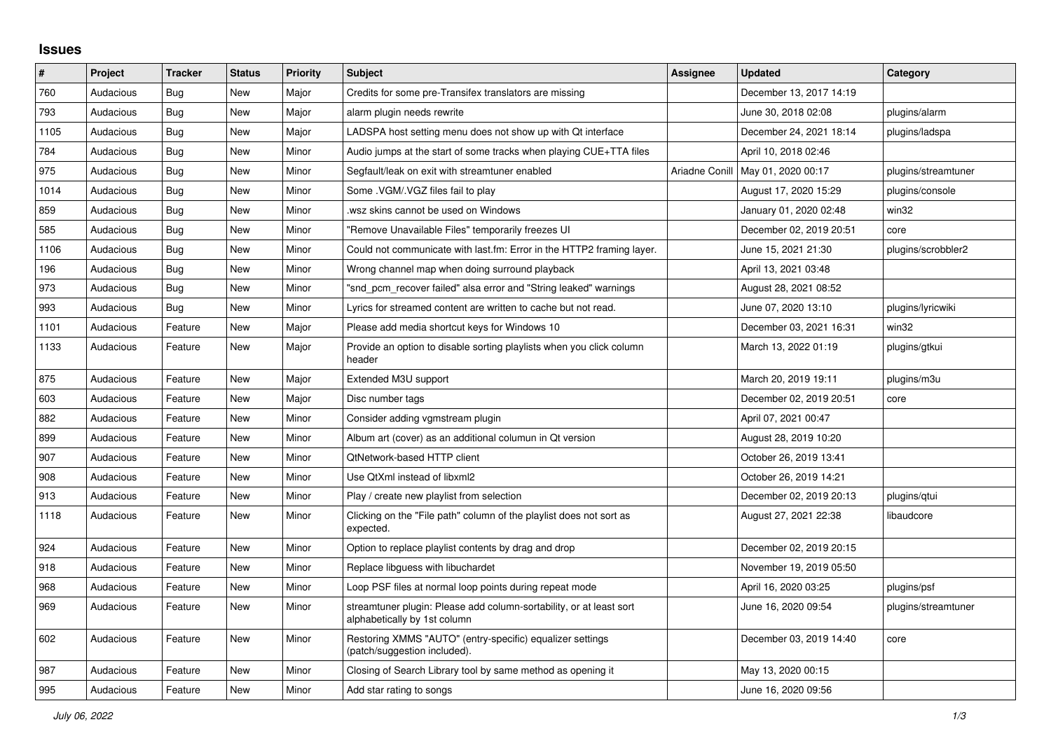## **Issues**

| ∦    | Project   | <b>Tracker</b> | <b>Status</b> | <b>Priority</b> | <b>Subject</b>                                                                                      | Assignee       | <b>Updated</b>          | Category            |
|------|-----------|----------------|---------------|-----------------|-----------------------------------------------------------------------------------------------------|----------------|-------------------------|---------------------|
| 760  | Audacious | <b>Bug</b>     | <b>New</b>    | Major           | Credits for some pre-Transifex translators are missing                                              |                | December 13, 2017 14:19 |                     |
| 793  | Audacious | Bug            | New           | Major           | alarm plugin needs rewrite                                                                          |                | June 30, 2018 02:08     | plugins/alarm       |
| 1105 | Audacious | Bug            | <b>New</b>    | Major           | LADSPA host setting menu does not show up with Qt interface                                         |                | December 24, 2021 18:14 | plugins/ladspa      |
| 784  | Audacious | <b>Bug</b>     | <b>New</b>    | Minor           | Audio jumps at the start of some tracks when playing CUE+TTA files                                  |                | April 10, 2018 02:46    |                     |
| 975  | Audacious | <b>Bug</b>     | <b>New</b>    | Minor           | Segfault/leak on exit with streamtuner enabled                                                      | Ariadne Conill | May 01, 2020 00:17      | plugins/streamtuner |
| 1014 | Audacious | <b>Bug</b>     | <b>New</b>    | Minor           | Some .VGM/.VGZ files fail to play                                                                   |                | August 17, 2020 15:29   | plugins/console     |
| 859  | Audacious | Bug            | New           | Minor           | wsz skins cannot be used on Windows.                                                                |                | January 01, 2020 02:48  | win32               |
| 585  | Audacious | Bug            | <b>New</b>    | Minor           | "Remove Unavailable Files" temporarily freezes UI                                                   |                | December 02, 2019 20:51 | core                |
| 1106 | Audacious | Bug            | <b>New</b>    | Minor           | Could not communicate with last.fm: Error in the HTTP2 framing layer.                               |                | June 15, 2021 21:30     | plugins/scrobbler2  |
| 196  | Audacious | <b>Bug</b>     | <b>New</b>    | Minor           | Wrong channel map when doing surround playback                                                      |                | April 13, 2021 03:48    |                     |
| 973  | Audacious | Bug            | <b>New</b>    | Minor           | "snd pcm recover failed" alsa error and "String leaked" warnings                                    |                | August 28, 2021 08:52   |                     |
| 993  | Audacious | Bug            | <b>New</b>    | Minor           | Lyrics for streamed content are written to cache but not read.                                      |                | June 07, 2020 13:10     | plugins/lyricwiki   |
| 1101 | Audacious | Feature        | New           | Major           | Please add media shortcut keys for Windows 10                                                       |                | December 03, 2021 16:31 | win32               |
| 1133 | Audacious | Feature        | New           | Major           | Provide an option to disable sorting playlists when you click column<br>header                      |                | March 13, 2022 01:19    | plugins/gtkui       |
| 875  | Audacious | Feature        | New           | Major           | Extended M3U support                                                                                |                | March 20, 2019 19:11    | plugins/m3u         |
| 603  | Audacious | Feature        | <b>New</b>    | Major           | Disc number tags                                                                                    |                | December 02, 2019 20:51 | core                |
| 882  | Audacious | Feature        | <b>New</b>    | Minor           | Consider adding vgmstream plugin                                                                    |                | April 07, 2021 00:47    |                     |
| 899  | Audacious | Feature        | <b>New</b>    | Minor           | Album art (cover) as an additional columun in Qt version                                            |                | August 28, 2019 10:20   |                     |
| 907  | Audacious | Feature        | <b>New</b>    | Minor           | <b>QtNetwork-based HTTP client</b>                                                                  |                | October 26, 2019 13:41  |                     |
| 908  | Audacious | Feature        | <b>New</b>    | Minor           | Use QtXml instead of libxml2                                                                        |                | October 26, 2019 14:21  |                     |
| 913  | Audacious | Feature        | New           | Minor           | Play / create new playlist from selection                                                           |                | December 02, 2019 20:13 | plugins/gtui        |
| 1118 | Audacious | Feature        | <b>New</b>    | Minor           | Clicking on the "File path" column of the playlist does not sort as<br>expected.                    |                | August 27, 2021 22:38   | libaudcore          |
| 924  | Audacious | Feature        | <b>New</b>    | Minor           | Option to replace playlist contents by drag and drop                                                |                | December 02, 2019 20:15 |                     |
| 918  | Audacious | Feature        | <b>New</b>    | Minor           | Replace libguess with libuchardet                                                                   |                | November 19, 2019 05:50 |                     |
| 968  | Audacious | Feature        | <b>New</b>    | Minor           | Loop PSF files at normal loop points during repeat mode                                             |                | April 16, 2020 03:25    | plugins/psf         |
| 969  | Audacious | Feature        | New           | Minor           | streamtuner plugin: Please add column-sortability, or at least sort<br>alphabetically by 1st column |                | June 16, 2020 09:54     | plugins/streamtuner |
| 602  | Audacious | Feature        | <b>New</b>    | Minor           | Restoring XMMS "AUTO" (entry-specific) equalizer settings<br>(patch/suggestion included).           |                | December 03, 2019 14:40 | core                |
| 987  | Audacious | Feature        | <b>New</b>    | Minor           | Closing of Search Library tool by same method as opening it                                         |                | May 13, 2020 00:15      |                     |
| 995  | Audacious | Feature        | New           | Minor           | Add star rating to songs                                                                            |                | June 16, 2020 09:56     |                     |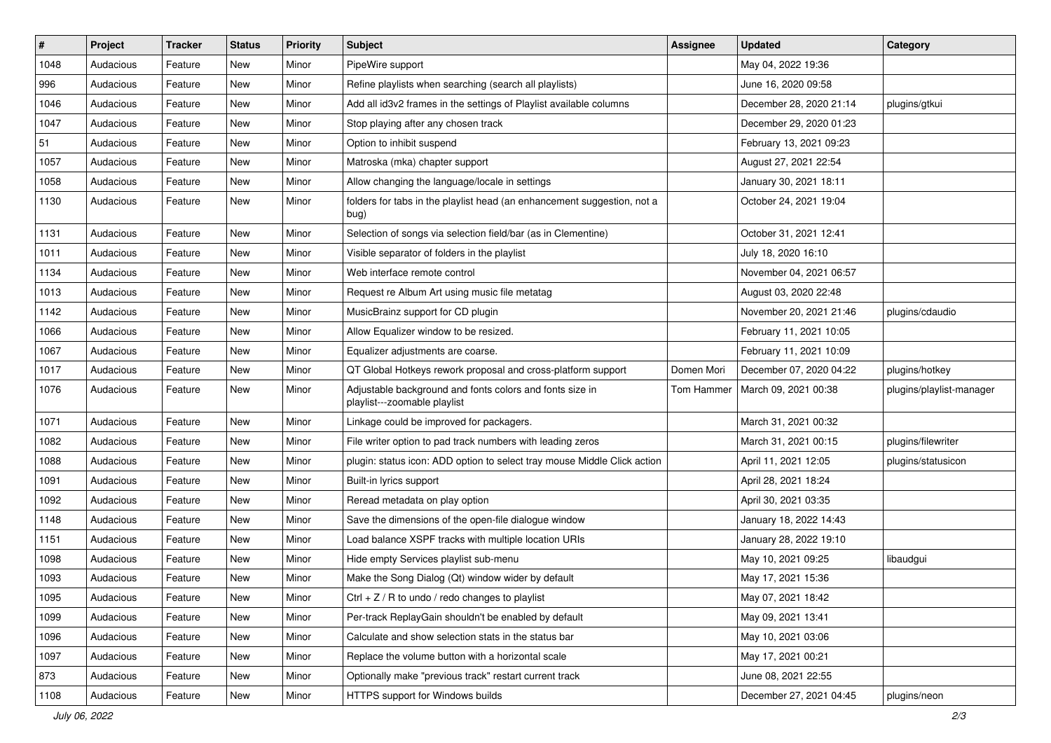| $\vert$ # | Project   | Tracker | <b>Status</b> | <b>Priority</b> | Subject                                                                                  | <b>Assignee</b> | <b>Updated</b>          | Category                 |
|-----------|-----------|---------|---------------|-----------------|------------------------------------------------------------------------------------------|-----------------|-------------------------|--------------------------|
| 1048      | Audacious | Feature | New           | Minor           | PipeWire support                                                                         |                 | May 04, 2022 19:36      |                          |
| 996       | Audacious | Feature | <b>New</b>    | Minor           | Refine playlists when searching (search all playlists)                                   |                 | June 16, 2020 09:58     |                          |
| 1046      | Audacious | Feature | New           | Minor           | Add all id3v2 frames in the settings of Playlist available columns                       |                 | December 28, 2020 21:14 | plugins/gtkui            |
| 1047      | Audacious | Feature | New           | Minor           | Stop playing after any chosen track                                                      |                 | December 29, 2020 01:23 |                          |
| 51        | Audacious | Feature | New           | Minor           | Option to inhibit suspend                                                                |                 | February 13, 2021 09:23 |                          |
| 1057      | Audacious | Feature | New           | Minor           | Matroska (mka) chapter support                                                           |                 | August 27, 2021 22:54   |                          |
| 1058      | Audacious | Feature | <b>New</b>    | Minor           | Allow changing the language/locale in settings                                           |                 | January 30, 2021 18:11  |                          |
| 1130      | Audacious | Feature | New           | Minor           | folders for tabs in the playlist head (an enhancement suggestion, not a<br>bug)          |                 | October 24, 2021 19:04  |                          |
| 1131      | Audacious | Feature | <b>New</b>    | Minor           | Selection of songs via selection field/bar (as in Clementine)                            |                 | October 31, 2021 12:41  |                          |
| 1011      | Audacious | Feature | New           | Minor           | Visible separator of folders in the playlist                                             |                 | July 18, 2020 16:10     |                          |
| 1134      | Audacious | Feature | New           | Minor           | Web interface remote control                                                             |                 | November 04, 2021 06:57 |                          |
| 1013      | Audacious | Feature | New           | Minor           | Request re Album Art using music file metatag                                            |                 | August 03, 2020 22:48   |                          |
| 1142      | Audacious | Feature | New           | Minor           | MusicBrainz support for CD plugin                                                        |                 | November 20, 2021 21:46 | plugins/cdaudio          |
| 1066      | Audacious | Feature | New           | Minor           | Allow Equalizer window to be resized.                                                    |                 | February 11, 2021 10:05 |                          |
| 1067      | Audacious | Feature | New           | Minor           | Equalizer adjustments are coarse.                                                        |                 | February 11, 2021 10:09 |                          |
| 1017      | Audacious | Feature | New           | Minor           | QT Global Hotkeys rework proposal and cross-platform support                             | Domen Mori      | December 07, 2020 04:22 | plugins/hotkey           |
| 1076      | Audacious | Feature | New           | Minor           | Adjustable background and fonts colors and fonts size in<br>playlist---zoomable playlist | Tom Hammer      | March 09, 2021 00:38    | plugins/playlist-manager |
| 1071      | Audacious | Feature | <b>New</b>    | Minor           | Linkage could be improved for packagers.                                                 |                 | March 31, 2021 00:32    |                          |
| 1082      | Audacious | Feature | New           | Minor           | File writer option to pad track numbers with leading zeros                               |                 | March 31, 2021 00:15    | plugins/filewriter       |
| 1088      | Audacious | Feature | New           | Minor           | plugin: status icon: ADD option to select tray mouse Middle Click action                 |                 | April 11, 2021 12:05    | plugins/statusicon       |
| 1091      | Audacious | Feature | <b>New</b>    | Minor           | Built-in lyrics support                                                                  |                 | April 28, 2021 18:24    |                          |
| 1092      | Audacious | Feature | New           | Minor           | Reread metadata on play option                                                           |                 | April 30, 2021 03:35    |                          |
| 1148      | Audacious | Feature | New           | Minor           | Save the dimensions of the open-file dialogue window                                     |                 | January 18, 2022 14:43  |                          |
| 1151      | Audacious | Feature | New           | Minor           | Load balance XSPF tracks with multiple location URIs                                     |                 | January 28, 2022 19:10  |                          |
| 1098      | Audacious | Feature | New           | Minor           | Hide empty Services playlist sub-menu                                                    |                 | May 10, 2021 09:25      | libaudgui                |
| 1093      | Audacious | Feature | <b>New</b>    | Minor           | Make the Song Dialog (Qt) window wider by default                                        |                 | May 17, 2021 15:36      |                          |
| 1095      | Audacious | Feature | New           | Minor           | Ctrl + $Z$ / R to undo / redo changes to playlist                                        |                 | May 07, 2021 18:42      |                          |
| 1099      | Audacious | Feature | New           | Minor           | Per-track ReplayGain shouldn't be enabled by default                                     |                 | May 09, 2021 13:41      |                          |
| 1096      | Audacious | Feature | New           | Minor           | Calculate and show selection stats in the status bar                                     |                 | May 10, 2021 03:06      |                          |
| 1097      | Audacious | Feature | New           | Minor           | Replace the volume button with a horizontal scale                                        |                 | May 17, 2021 00:21      |                          |
| 873       | Audacious | Feature | New           | Minor           | Optionally make "previous track" restart current track                                   |                 | June 08, 2021 22:55     |                          |
| 1108      | Audacious | Feature | New           | Minor           | HTTPS support for Windows builds                                                         |                 | December 27, 2021 04:45 | plugins/neon             |